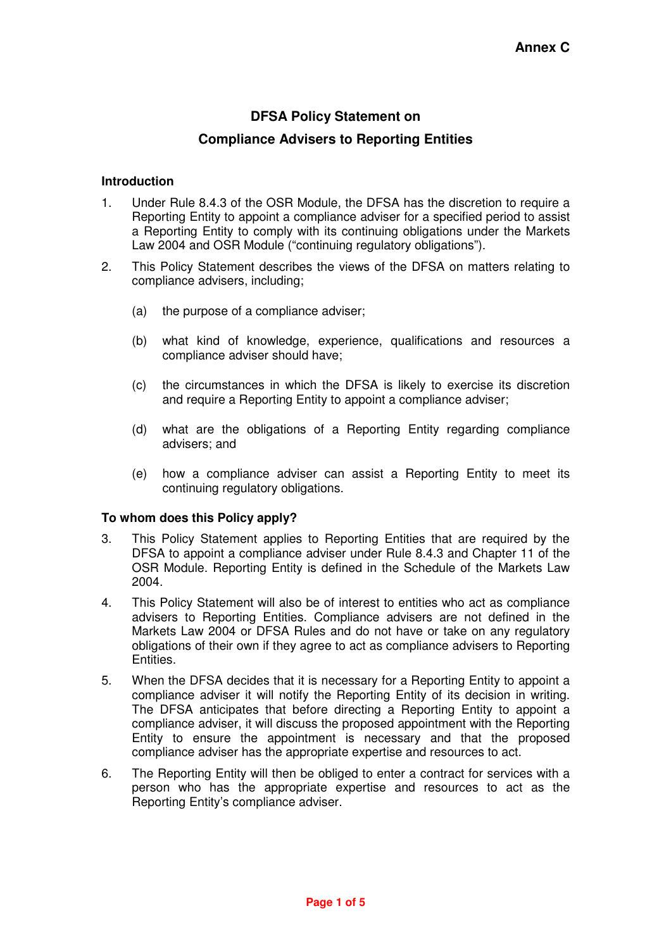# **DFSA Policy Statement on**

## **Compliance Advisers to Reporting Entities**

#### **Introduction**

- 1. Under Rule 8.4.3 of the OSR Module, the DFSA has the discretion to require a Reporting Entity to appoint a compliance adviser for a specified period to assist a Reporting Entity to comply with its continuing obligations under the Markets Law 2004 and OSR Module ("continuing regulatory obligations").
- 2. This Policy Statement describes the views of the DFSA on matters relating to compliance advisers, including;
	- (a) the purpose of a compliance adviser;
	- (b) what kind of knowledge, experience, qualifications and resources a compliance adviser should have;
	- (c) the circumstances in which the DFSA is likely to exercise its discretion and require a Reporting Entity to appoint a compliance adviser;
	- (d) what are the obligations of a Reporting Entity regarding compliance advisers; and
	- (e) how a compliance adviser can assist a Reporting Entity to meet its continuing regulatory obligations.

### **To whom does this Policy apply?**

- 3. This Policy Statement applies to Reporting Entities that are required by the DFSA to appoint a compliance adviser under Rule 8.4.3 and Chapter 11 of the OSR Module. Reporting Entity is defined in the Schedule of the Markets Law 2004.
- 4. This Policy Statement will also be of interest to entities who act as compliance advisers to Reporting Entities. Compliance advisers are not defined in the Markets Law 2004 or DFSA Rules and do not have or take on any regulatory obligations of their own if they agree to act as compliance advisers to Reporting Entities.
- 5. When the DFSA decides that it is necessary for a Reporting Entity to appoint a compliance adviser it will notify the Reporting Entity of its decision in writing. The DFSA anticipates that before directing a Reporting Entity to appoint a compliance adviser, it will discuss the proposed appointment with the Reporting Entity to ensure the appointment is necessary and that the proposed compliance adviser has the appropriate expertise and resources to act.
- 6. The Reporting Entity will then be obliged to enter a contract for services with a person who has the appropriate expertise and resources to act as the Reporting Entity's compliance adviser.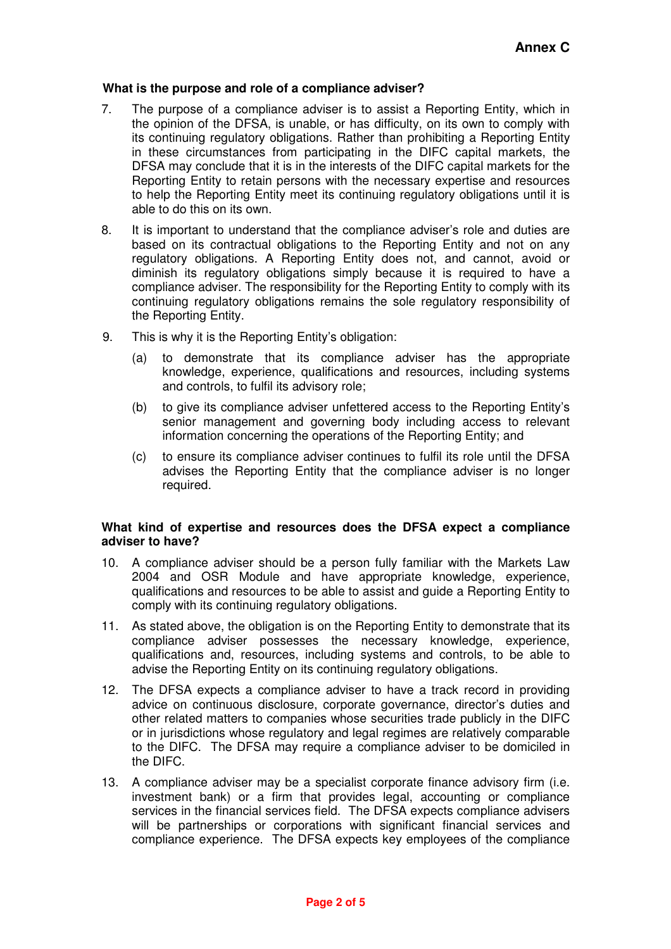#### **What is the purpose and role of a compliance adviser?**

- 7. The purpose of a compliance adviser is to assist a Reporting Entity, which in the opinion of the DFSA, is unable, or has difficulty, on its own to comply with its continuing regulatory obligations. Rather than prohibiting a Reporting Entity in these circumstances from participating in the DIFC capital markets, the DFSA may conclude that it is in the interests of the DIFC capital markets for the Reporting Entity to retain persons with the necessary expertise and resources to help the Reporting Entity meet its continuing regulatory obligations until it is able to do this on its own.
- 8. It is important to understand that the compliance adviser's role and duties are based on its contractual obligations to the Reporting Entity and not on any regulatory obligations. A Reporting Entity does not, and cannot, avoid or diminish its regulatory obligations simply because it is required to have a compliance adviser. The responsibility for the Reporting Entity to comply with its continuing regulatory obligations remains the sole regulatory responsibility of the Reporting Entity.
- 9. This is why it is the Reporting Entity's obligation:
	- (a) to demonstrate that its compliance adviser has the appropriate knowledge, experience, qualifications and resources, including systems and controls, to fulfil its advisory role;
	- (b) to give its compliance adviser unfettered access to the Reporting Entity's senior management and governing body including access to relevant information concerning the operations of the Reporting Entity; and
	- (c) to ensure its compliance adviser continues to fulfil its role until the DFSA advises the Reporting Entity that the compliance adviser is no longer required.

#### **What kind of expertise and resources does the DFSA expect a compliance adviser to have?**

- 10. A compliance adviser should be a person fully familiar with the Markets Law 2004 and OSR Module and have appropriate knowledge, experience, qualifications and resources to be able to assist and guide a Reporting Entity to comply with its continuing regulatory obligations.
- 11. As stated above, the obligation is on the Reporting Entity to demonstrate that its compliance adviser possesses the necessary knowledge, experience, qualifications and, resources, including systems and controls, to be able to advise the Reporting Entity on its continuing regulatory obligations.
- 12. The DFSA expects a compliance adviser to have a track record in providing advice on continuous disclosure, corporate governance, director's duties and other related matters to companies whose securities trade publicly in the DIFC or in jurisdictions whose regulatory and legal regimes are relatively comparable to the DIFC. The DFSA may require a compliance adviser to be domiciled in the DIFC.
- 13. A compliance adviser may be a specialist corporate finance advisory firm (i.e. investment bank) or a firm that provides legal, accounting or compliance services in the financial services field. The DFSA expects compliance advisers will be partnerships or corporations with significant financial services and compliance experience. The DFSA expects key employees of the compliance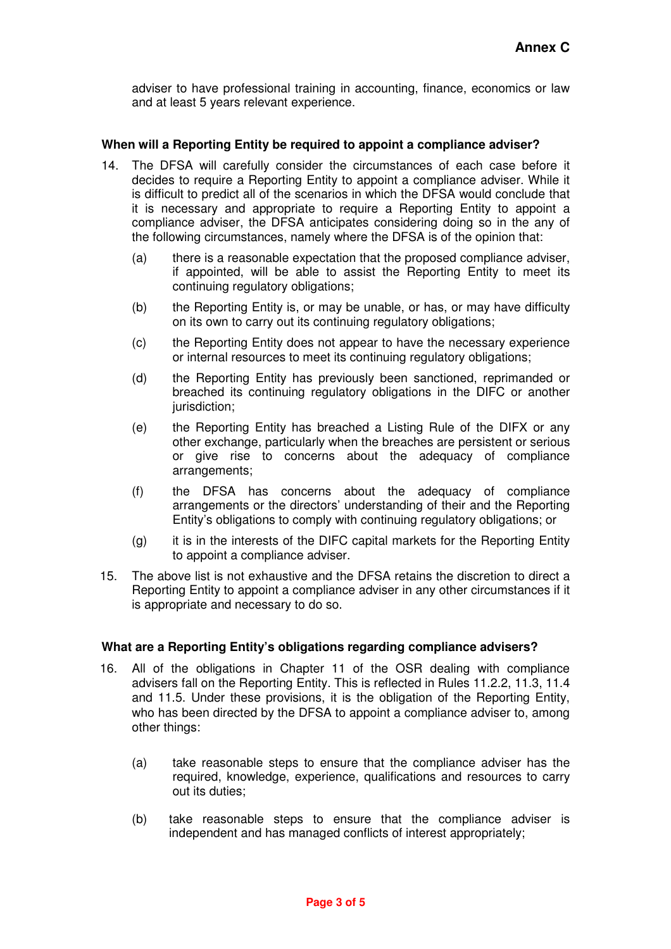adviser to have professional training in accounting, finance, economics or law and at least 5 years relevant experience.

#### **When will a Reporting Entity be required to appoint a compliance adviser?**

- 14. The DFSA will carefully consider the circumstances of each case before it decides to require a Reporting Entity to appoint a compliance adviser. While it is difficult to predict all of the scenarios in which the DFSA would conclude that it is necessary and appropriate to require a Reporting Entity to appoint a compliance adviser, the DFSA anticipates considering doing so in the any of the following circumstances, namely where the DFSA is of the opinion that:
	- (a) there is a reasonable expectation that the proposed compliance adviser, if appointed, will be able to assist the Reporting Entity to meet its continuing regulatory obligations;
	- (b) the Reporting Entity is, or may be unable, or has, or may have difficulty on its own to carry out its continuing regulatory obligations;
	- (c) the Reporting Entity does not appear to have the necessary experience or internal resources to meet its continuing regulatory obligations;
	- (d) the Reporting Entity has previously been sanctioned, reprimanded or breached its continuing regulatory obligations in the DIFC or another jurisdiction;
	- (e) the Reporting Entity has breached a Listing Rule of the DIFX or any other exchange, particularly when the breaches are persistent or serious or give rise to concerns about the adequacy of compliance arrangements;
	- (f) the DFSA has concerns about the adequacy of compliance arrangements or the directors' understanding of their and the Reporting Entity's obligations to comply with continuing regulatory obligations; or
	- (g) it is in the interests of the DIFC capital markets for the Reporting Entity to appoint a compliance adviser.
- 15. The above list is not exhaustive and the DFSA retains the discretion to direct a Reporting Entity to appoint a compliance adviser in any other circumstances if it is appropriate and necessary to do so.

#### **What are a Reporting Entity's obligations regarding compliance advisers?**

- 16. All of the obligations in Chapter 11 of the OSR dealing with compliance advisers fall on the Reporting Entity. This is reflected in Rules 11.2.2, 11.3, 11.4 and 11.5. Under these provisions, it is the obligation of the Reporting Entity, who has been directed by the DFSA to appoint a compliance adviser to, among other things:
	- (a) take reasonable steps to ensure that the compliance adviser has the required, knowledge, experience, qualifications and resources to carry out its duties;
	- (b) take reasonable steps to ensure that the compliance adviser is independent and has managed conflicts of interest appropriately;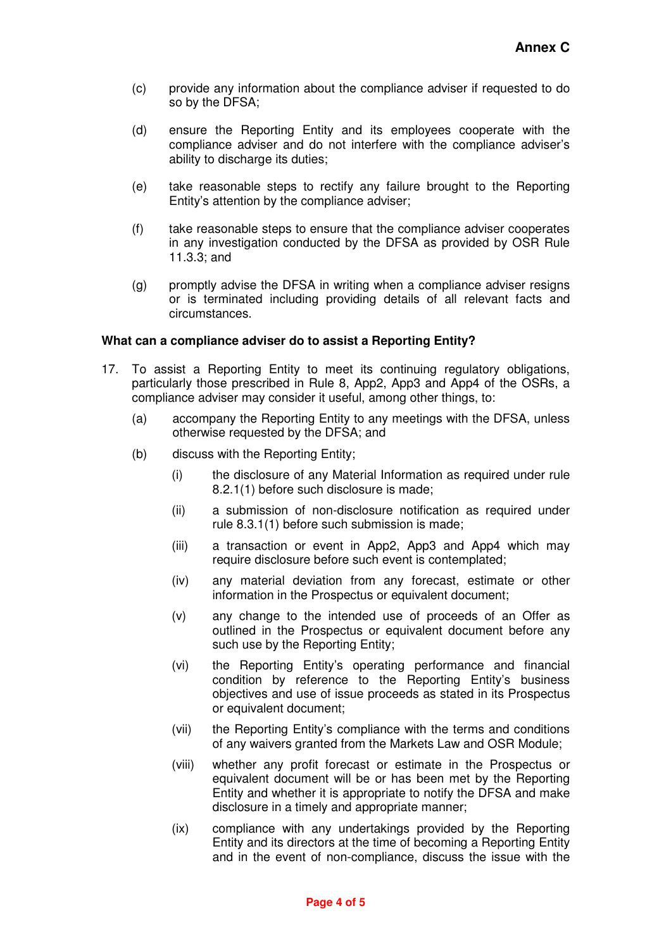- (c) provide any information about the compliance adviser if requested to do so by the DFSA;
- (d) ensure the Reporting Entity and its employees cooperate with the compliance adviser and do not interfere with the compliance adviser's ability to discharge its duties;
- (e) take reasonable steps to rectify any failure brought to the Reporting Entity's attention by the compliance adviser;
- (f) take reasonable steps to ensure that the compliance adviser cooperates in any investigation conducted by the DFSA as provided by OSR Rule 11.3.3; and
- (g) promptly advise the DFSA in writing when a compliance adviser resigns or is terminated including providing details of all relevant facts and circumstances.

#### **What can a compliance adviser do to assist a Reporting Entity?**

- 17. To assist a Reporting Entity to meet its continuing regulatory obligations, particularly those prescribed in Rule 8, App2, App3 and App4 of the OSRs, a compliance adviser may consider it useful, among other things, to:
	- (a) accompany the Reporting Entity to any meetings with the DFSA, unless otherwise requested by the DFSA; and
	- (b) discuss with the Reporting Entity;
		- (i) the disclosure of any Material Information as required under rule 8.2.1(1) before such disclosure is made;
		- (ii) a submission of non-disclosure notification as required under rule 8.3.1(1) before such submission is made;
		- (iii) a transaction or event in App2, App3 and App4 which may require disclosure before such event is contemplated;
		- (iv) any material deviation from any forecast, estimate or other information in the Prospectus or equivalent document;
		- (v) any change to the intended use of proceeds of an Offer as outlined in the Prospectus or equivalent document before any such use by the Reporting Entity;
		- (vi) the Reporting Entity's operating performance and financial condition by reference to the Reporting Entity's business objectives and use of issue proceeds as stated in its Prospectus or equivalent document;
		- (vii) the Reporting Entity's compliance with the terms and conditions of any waivers granted from the Markets Law and OSR Module;
		- (viii) whether any profit forecast or estimate in the Prospectus or equivalent document will be or has been met by the Reporting Entity and whether it is appropriate to notify the DFSA and make disclosure in a timely and appropriate manner;
		- (ix) compliance with any undertakings provided by the Reporting Entity and its directors at the time of becoming a Reporting Entity and in the event of non-compliance, discuss the issue with the